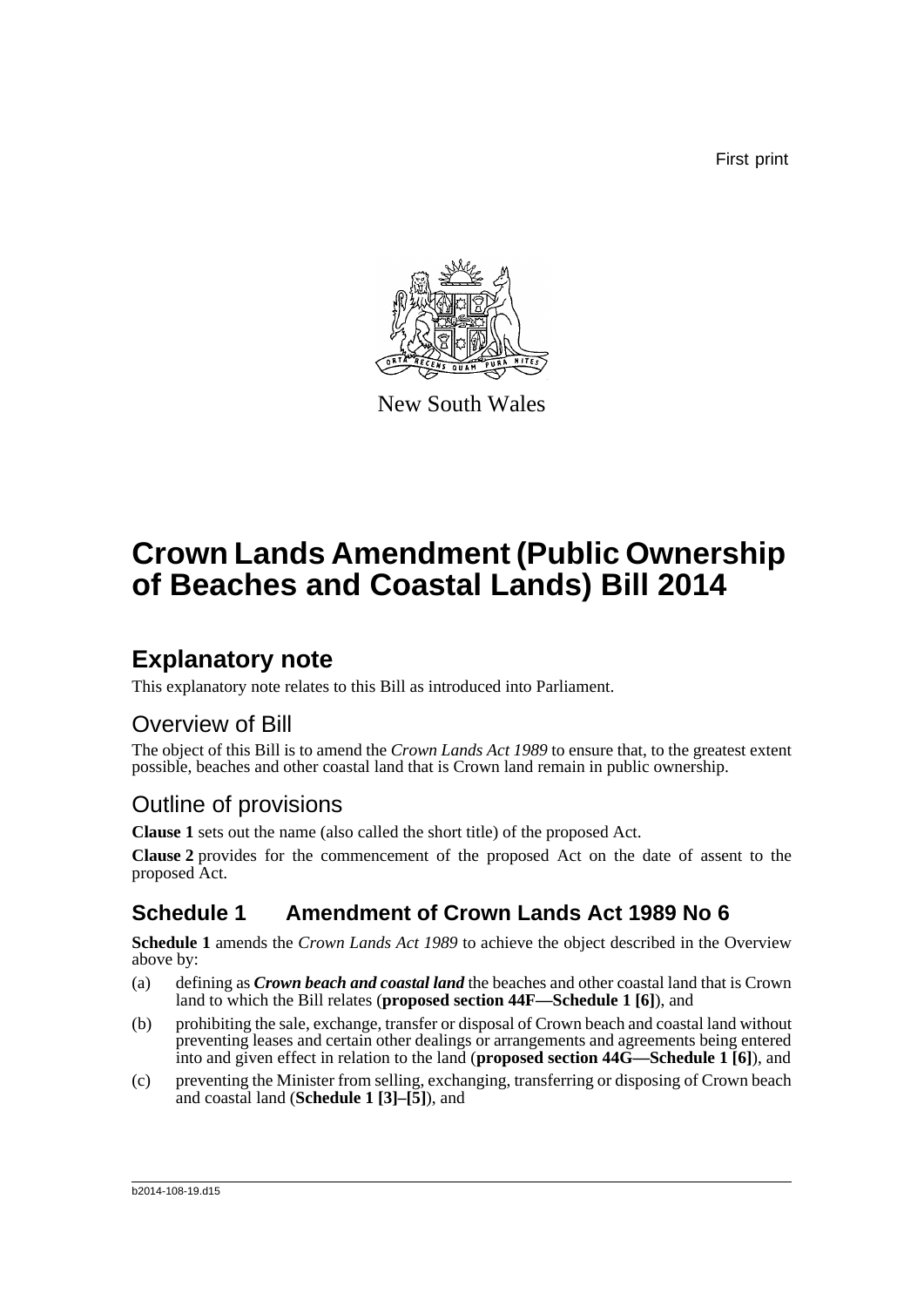First print



New South Wales

# **Crown Lands Amendment (Public Ownership of Beaches and Coastal Lands) Bill 2014**

## **Explanatory note**

This explanatory note relates to this Bill as introduced into Parliament.

### Overview of Bill

The object of this Bill is to amend the *Crown Lands Act 1989* to ensure that, to the greatest extent possible, beaches and other coastal land that is Crown land remain in public ownership.

### Outline of provisions

**Clause 1** sets out the name (also called the short title) of the proposed Act.

**Clause 2** provides for the commencement of the proposed Act on the date of assent to the proposed Act.

### **Schedule 1 Amendment of Crown Lands Act 1989 No 6**

**Schedule 1** amends the *Crown Lands Act 1989* to achieve the object described in the Overview above by:

- (a) defining as *Crown beach and coastal land* the beaches and other coastal land that is Crown land to which the Bill relates (**proposed section 44F—Schedule 1 [6]**), and
- (b) prohibiting the sale, exchange, transfer or disposal of Crown beach and coastal land without preventing leases and certain other dealings or arrangements and agreements being entered into and given effect in relation to the land (**proposed section 44G—Schedule 1 [6]**), and
- (c) preventing the Minister from selling, exchanging, transferring or disposing of Crown beach and coastal land (**Schedule 1 [3]–[5]**), and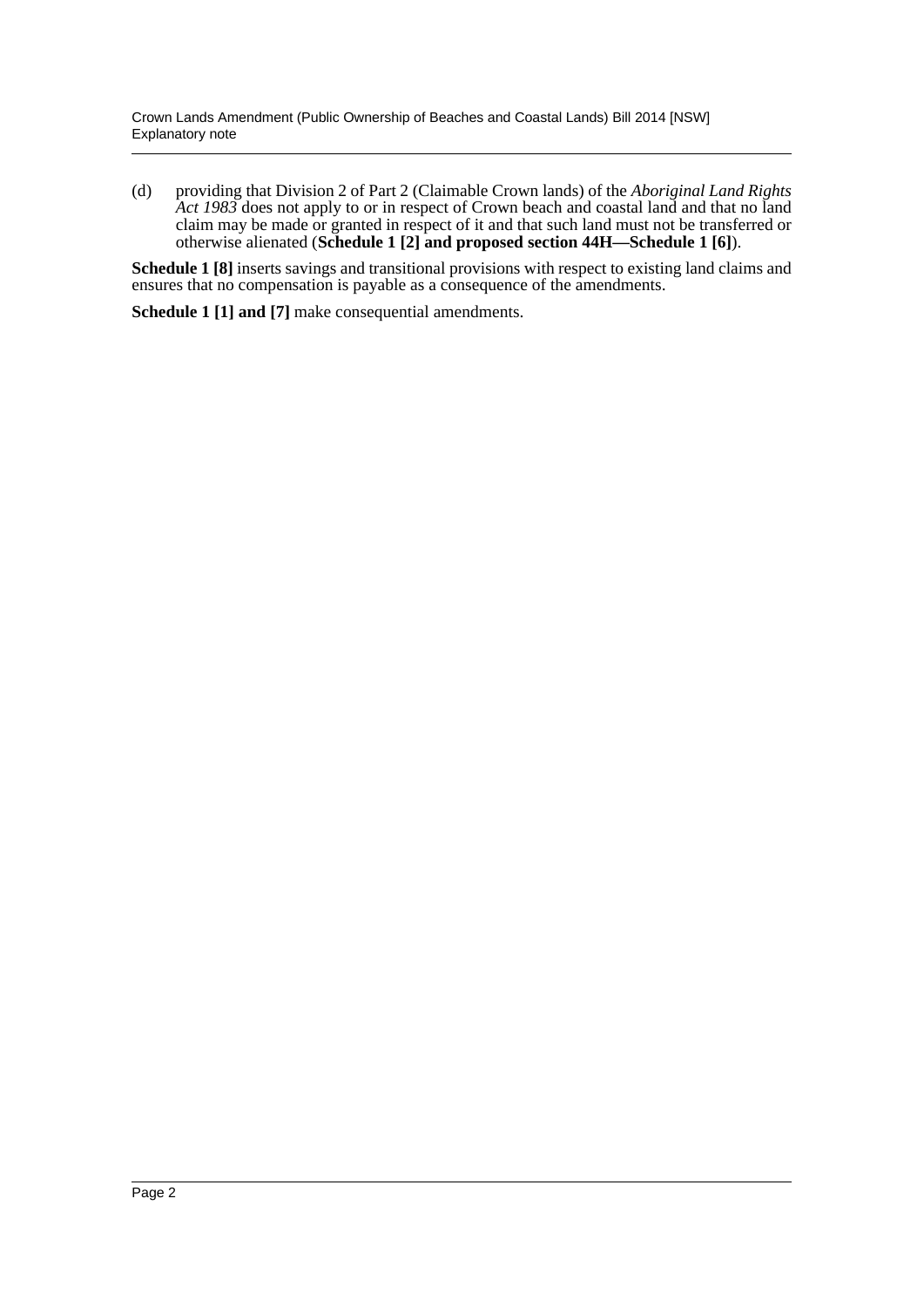(d) providing that Division 2 of Part 2 (Claimable Crown lands) of the *Aboriginal Land Rights Act 1983* does not apply to or in respect of Crown beach and coastal land and that no land claim may be made or granted in respect of it and that such land must not be transferred or otherwise alienated (**Schedule 1 [2] and proposed section 44H—Schedule 1 [6]**).

**Schedule 1 [8]** inserts savings and transitional provisions with respect to existing land claims and ensures that no compensation is payable as a consequence of the amendments.

**Schedule 1 [1] and [7]** make consequential amendments.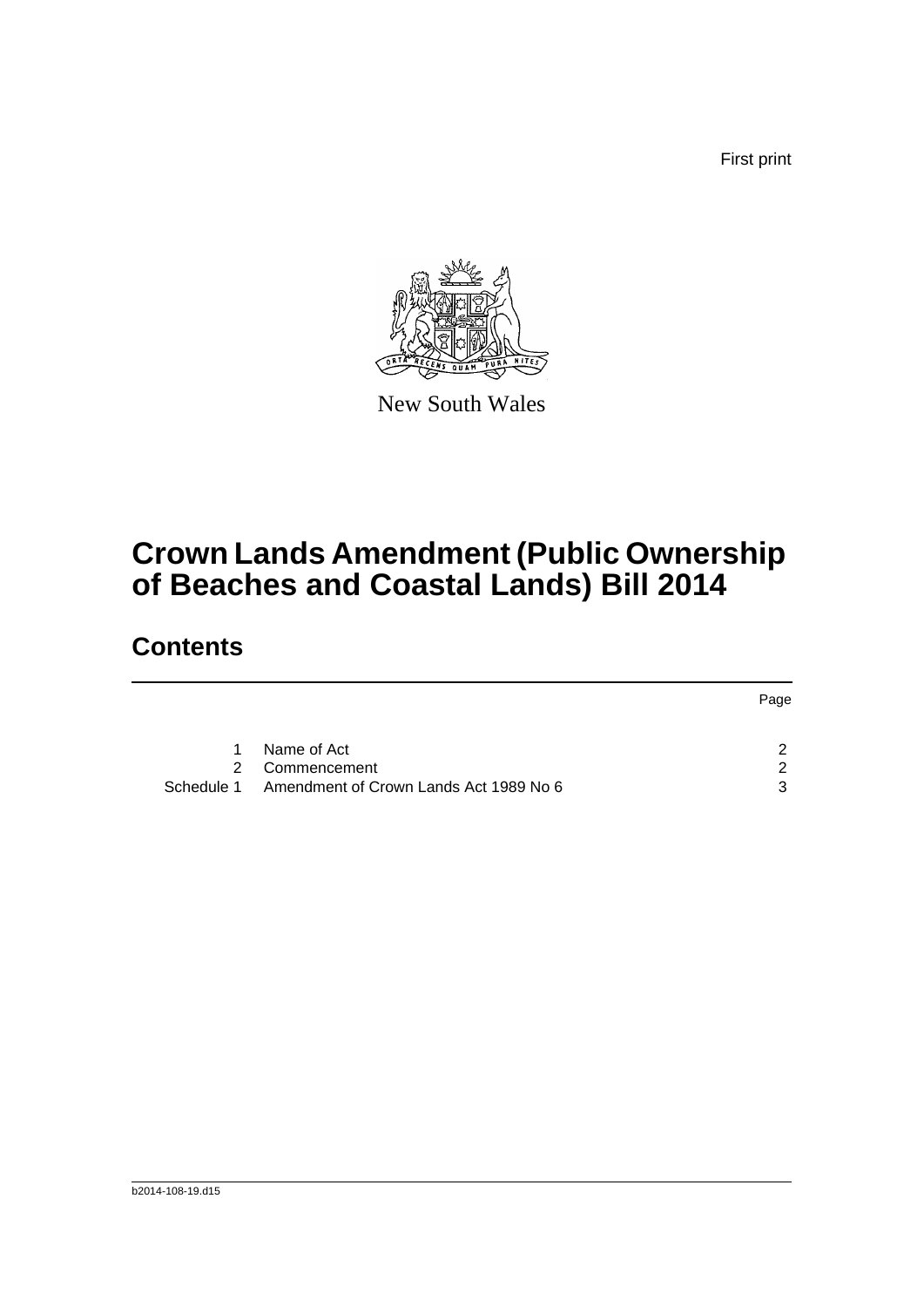First print



New South Wales

# **Crown Lands Amendment (Public Ownership of Beaches and Coastal Lands) Bill 2014**

### **Contents**

|               |                                                   | Page          |
|---------------|---------------------------------------------------|---------------|
| 1             | Name of Act                                       | $\mathcal{P}$ |
| $\mathcal{P}$ | Commencement                                      | $\mathcal{P}$ |
|               | Schedule 1 Amendment of Crown Lands Act 1989 No 6 | 3             |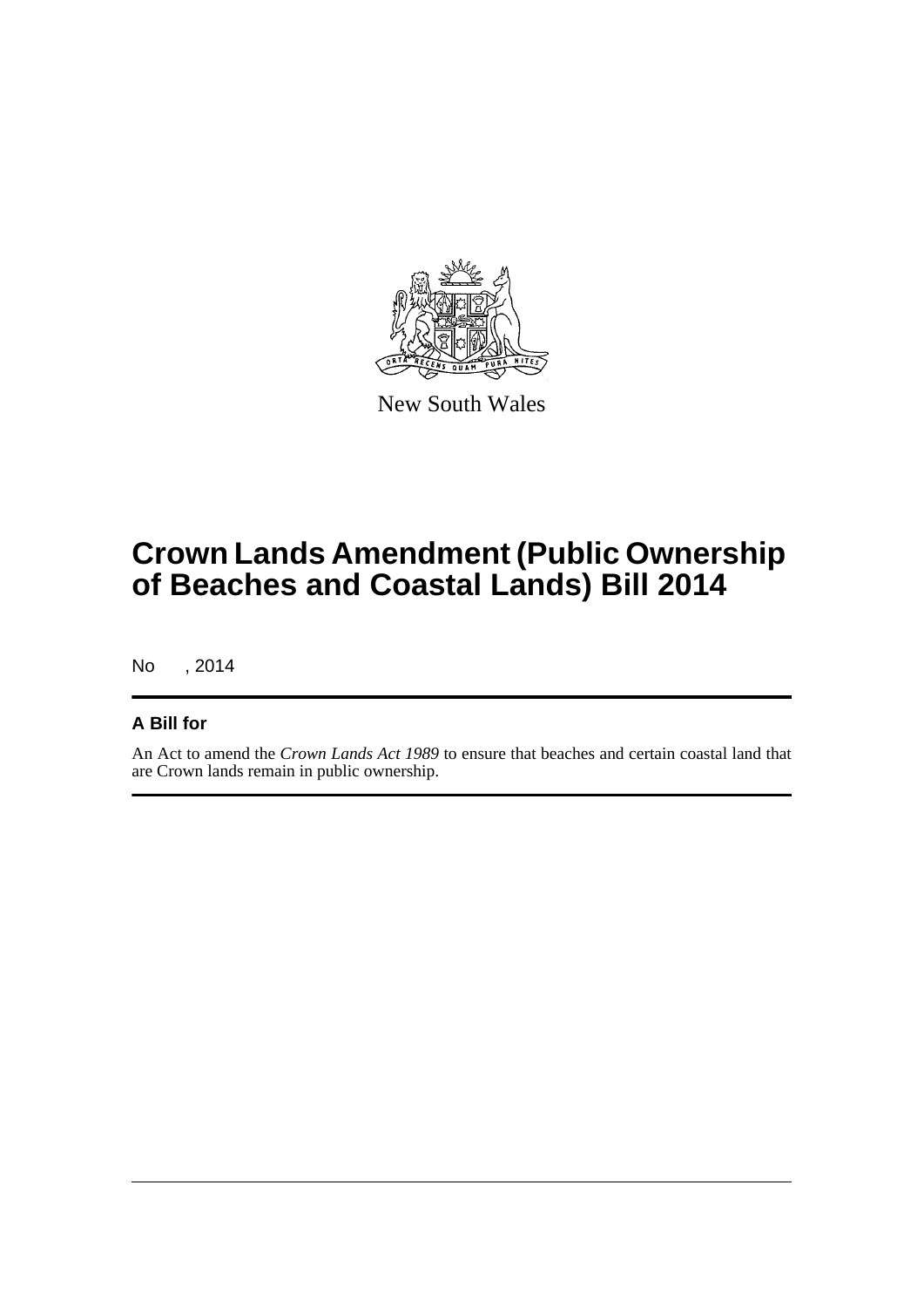

New South Wales

# **Crown Lands Amendment (Public Ownership of Beaches and Coastal Lands) Bill 2014**

No , 2014

#### **A Bill for**

An Act to amend the *Crown Lands Act 1989* to ensure that beaches and certain coastal land that are Crown lands remain in public ownership.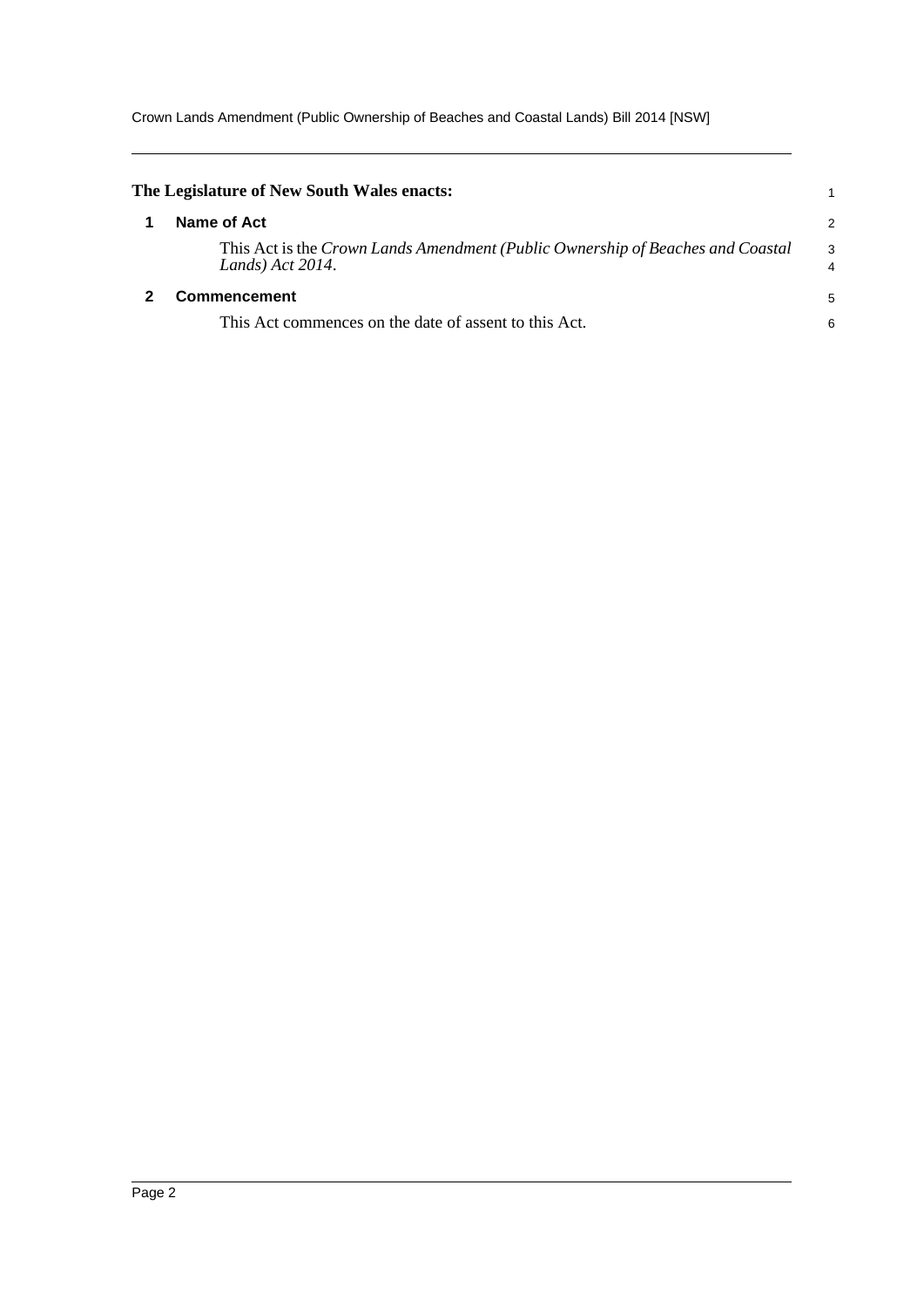Crown Lands Amendment (Public Ownership of Beaches and Coastal Lands) Bill 2014 [NSW]

<span id="page-4-1"></span><span id="page-4-0"></span>

| The Legislature of New South Wales enacts:                                                            |                     |
|-------------------------------------------------------------------------------------------------------|---------------------|
| Name of Act                                                                                           | $\overline{2}$      |
| This Act is the Crown Lands Amendment (Public Ownership of Beaches and Coastal<br>Lands) $Act 2014$ . | 3<br>$\overline{4}$ |
| <b>Commencement</b>                                                                                   |                     |
| This Act commences on the date of assent to this Act.                                                 | 6                   |
|                                                                                                       |                     |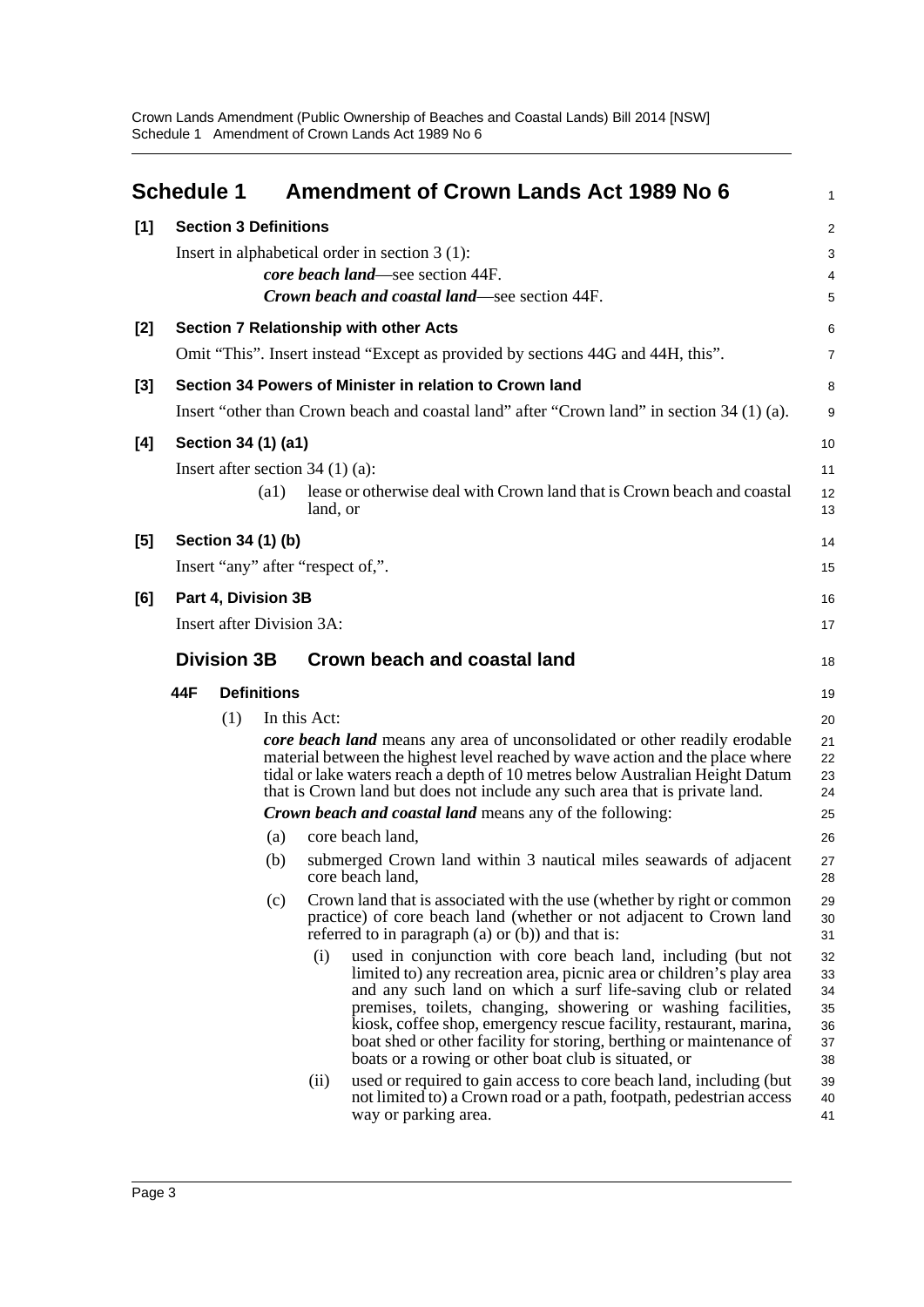<span id="page-5-0"></span>

|     | <b>Schedule 1</b>                |                              |                    |                                   | <b>Amendment of Crown Lands Act 1989 No 6</b>                                                                                                                                                                                                                                                                                                                                                                                                                               | 1                                      |
|-----|----------------------------------|------------------------------|--------------------|-----------------------------------|-----------------------------------------------------------------------------------------------------------------------------------------------------------------------------------------------------------------------------------------------------------------------------------------------------------------------------------------------------------------------------------------------------------------------------------------------------------------------------|----------------------------------------|
| [1] |                                  | <b>Section 3 Definitions</b> |                    |                                   |                                                                                                                                                                                                                                                                                                                                                                                                                                                                             | $\overline{a}$                         |
|     |                                  |                              |                    |                                   | Insert in alphabetical order in section $3(1)$ :                                                                                                                                                                                                                                                                                                                                                                                                                            | 3                                      |
|     |                                  |                              |                    |                                   | core beach land—see section 44F.                                                                                                                                                                                                                                                                                                                                                                                                                                            | 4                                      |
|     |                                  |                              |                    |                                   | Crown beach and coastal land—see section 44F.                                                                                                                                                                                                                                                                                                                                                                                                                               | 5                                      |
| [2] |                                  |                              |                    |                                   | <b>Section 7 Relationship with other Acts</b>                                                                                                                                                                                                                                                                                                                                                                                                                               | 6                                      |
|     |                                  |                              |                    |                                   | Omit "This". Insert instead "Except as provided by sections 44G and 44H, this".                                                                                                                                                                                                                                                                                                                                                                                             | 7                                      |
| [3] |                                  |                              |                    |                                   | Section 34 Powers of Minister in relation to Crown land                                                                                                                                                                                                                                                                                                                                                                                                                     | 8                                      |
|     |                                  |                              |                    |                                   | Insert "other than Crown beach and coastal land" after "Crown land" in section 34 (1) (a).                                                                                                                                                                                                                                                                                                                                                                                  | 9                                      |
| [4] |                                  | Section 34 (1) (a1)          |                    |                                   |                                                                                                                                                                                                                                                                                                                                                                                                                                                                             | 10                                     |
|     |                                  |                              |                    | Insert after section $34(1)(a)$ : |                                                                                                                                                                                                                                                                                                                                                                                                                                                                             | 11                                     |
|     |                                  |                              | $\left( a1\right)$ | land, or                          | lease or otherwise deal with Crown land that is Crown beach and coastal                                                                                                                                                                                                                                                                                                                                                                                                     | 12<br>13                               |
| [5] |                                  | Section 34 (1) (b)           |                    |                                   |                                                                                                                                                                                                                                                                                                                                                                                                                                                                             | 14                                     |
|     |                                  |                              |                    | Insert "any" after "respect of,". |                                                                                                                                                                                                                                                                                                                                                                                                                                                                             | 15                                     |
| [6] |                                  | Part 4, Division 3B          |                    |                                   |                                                                                                                                                                                                                                                                                                                                                                                                                                                                             | 16                                     |
|     | <b>Insert after Division 3A:</b> |                              |                    |                                   |                                                                                                                                                                                                                                                                                                                                                                                                                                                                             | 17                                     |
|     |                                  | <b>Division 3B</b>           |                    |                                   | Crown beach and coastal land                                                                                                                                                                                                                                                                                                                                                                                                                                                | 18                                     |
|     | 44F                              |                              | <b>Definitions</b> |                                   |                                                                                                                                                                                                                                                                                                                                                                                                                                                                             | 19                                     |
|     |                                  | (1)                          |                    | In this Act:                      |                                                                                                                                                                                                                                                                                                                                                                                                                                                                             | 20                                     |
|     |                                  |                              |                    |                                   | core beach land means any area of unconsolidated or other readily erodable<br>material between the highest level reached by wave action and the place where<br>tidal or lake waters reach a depth of 10 metres below Australian Height Datum<br>that is Crown land but does not include any such area that is private land.                                                                                                                                                 | 21<br>22<br>23<br>24                   |
|     |                                  |                              |                    |                                   | <b>Crown beach and coastal land means any of the following:</b>                                                                                                                                                                                                                                                                                                                                                                                                             | 25                                     |
|     |                                  |                              | (a)                |                                   | core beach land,                                                                                                                                                                                                                                                                                                                                                                                                                                                            | 26                                     |
|     |                                  |                              | (b)                |                                   | submerged Crown land within 3 nautical miles seawards of adjacent<br>core beach land,                                                                                                                                                                                                                                                                                                                                                                                       | 27<br>28                               |
|     |                                  |                              | (c)                |                                   | Crown land that is associated with the use (whether by right or common<br>practice) of core beach land (whether or not adjacent to Crown land<br>referred to in paragraph $(a)$ or $(b)$ ) and that is:                                                                                                                                                                                                                                                                     | 29<br>30<br>31                         |
|     |                                  |                              |                    | (i)                               | used in conjunction with core beach land, including (but not<br>limited to) any recreation area, picnic area or children's play area<br>and any such land on which a surf life-saving club or related<br>premises, toilets, changing, showering or washing facilities,<br>kiosk, coffee shop, emergency rescue facility, restaurant, marina,<br>boat shed or other facility for storing, berthing or maintenance of<br>boats or a rowing or other boat club is situated, or | 32<br>33<br>34<br>35<br>36<br>37<br>38 |
|     |                                  |                              |                    | (ii)                              | used or required to gain access to core beach land, including (but<br>not limited to) a Crown road or a path, footpath, pedestrian access<br>way or parking area.                                                                                                                                                                                                                                                                                                           | 39<br>40<br>41                         |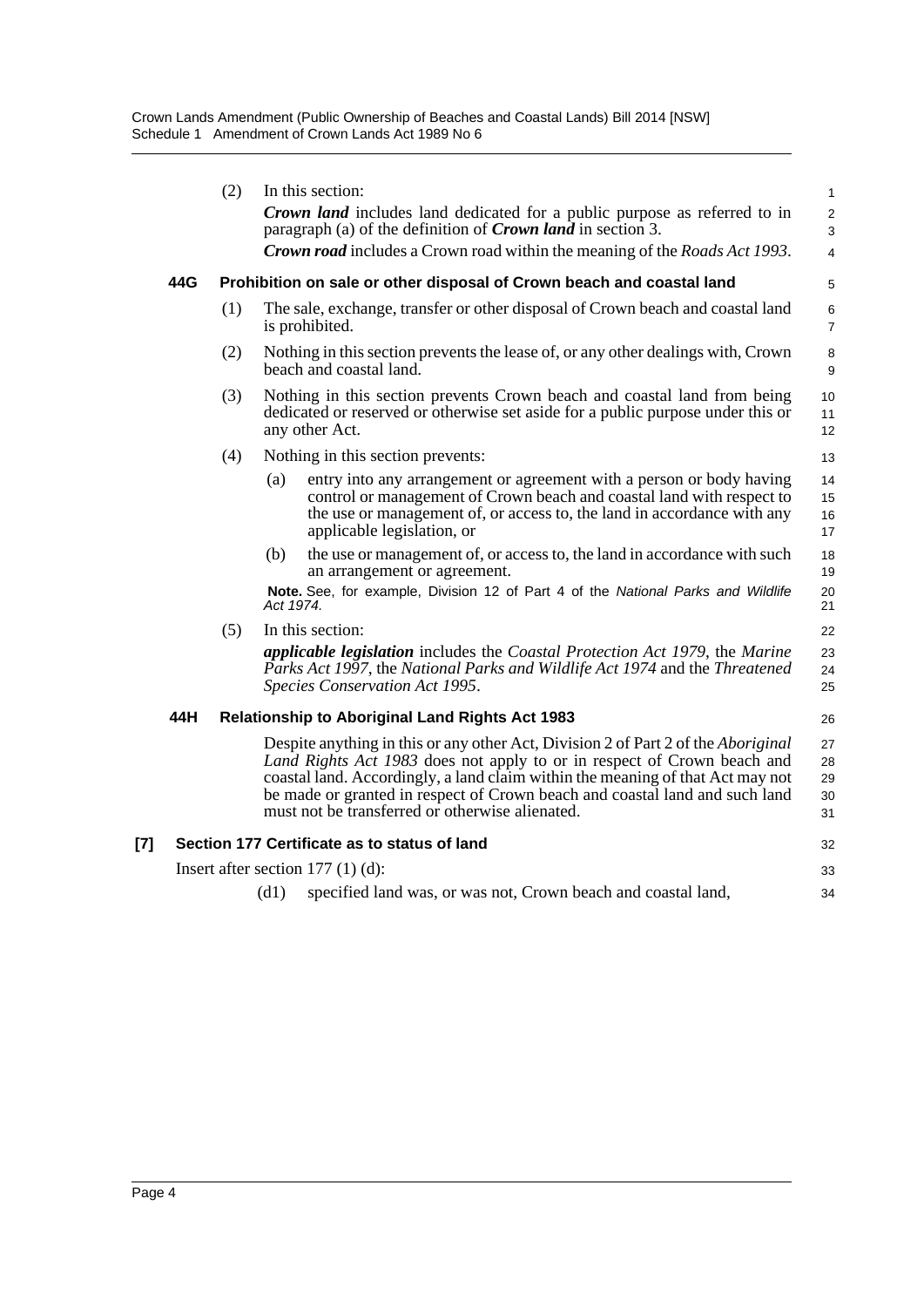| (2)<br>In this section:<br><b>Crown land</b> includes land dedicated for a public purpose as referred to in<br>paragraph (a) of the definition of <i>Crown land</i> in section 3.<br><b>Crown road</b> includes a Crown road within the meaning of the <i>Roads Act 1993</i> .<br>44G<br>Prohibition on sale or other disposal of Crown beach and coastal land<br>(1)<br>The sale, exchange, transfer or other disposal of Crown beach and coastal land<br>is prohibited.<br>Nothing in this section prevents the lease of, or any other dealings with, Crown<br>(2)<br>beach and coastal land.<br>Nothing in this section prevents Crown beach and coastal land from being<br>(3)<br>dedicated or reserved or otherwise set aside for a public purpose under this or<br>any other Act.<br>Nothing in this section prevents:<br>(4)<br>(a)<br>entry into any arrangement or agreement with a person or body having<br>control or management of Crown beach and coastal land with respect to<br>the use or management of, or access to, the land in accordance with any<br>applicable legislation, or<br>the use or management of, or access to, the land in accordance with such<br>(b)<br>an arrangement or agreement.<br>Note. See, for example, Division 12 of Part 4 of the National Parks and Wildlife<br>Act 1974.<br>(5)<br>In this section:<br><i>applicable legislation</i> includes the Coastal Protection Act 1979, the Marine<br>Parks Act 1997, the National Parks and Wildlife Act 1974 and the Threatened<br>Species Conservation Act 1995.<br>44H<br><b>Relationship to Aboriginal Land Rights Act 1983</b><br>Despite anything in this or any other Act, Division 2 of Part 2 of the Aboriginal<br>Land Rights Act 1983 does not apply to or in respect of Crown beach and<br>coastal land. Accordingly, a land claim within the meaning of that Act may not<br>be made or granted in respect of Crown beach and coastal land and such land<br>must not be transferred or otherwise alienated.<br>Section 177 Certificate as to status of land<br>Insert after section $177(1)(d)$ : |  |    |      |                                                               |                                        |  |  |
|-------------------------------------------------------------------------------------------------------------------------------------------------------------------------------------------------------------------------------------------------------------------------------------------------------------------------------------------------------------------------------------------------------------------------------------------------------------------------------------------------------------------------------------------------------------------------------------------------------------------------------------------------------------------------------------------------------------------------------------------------------------------------------------------------------------------------------------------------------------------------------------------------------------------------------------------------------------------------------------------------------------------------------------------------------------------------------------------------------------------------------------------------------------------------------------------------------------------------------------------------------------------------------------------------------------------------------------------------------------------------------------------------------------------------------------------------------------------------------------------------------------------------------------------------------------------------------------------------------------------------------------------------------------------------------------------------------------------------------------------------------------------------------------------------------------------------------------------------------------------------------------------------------------------------------------------------------------------------------------------------------------------------------------------------------------------------------------------------------|--|----|------|---------------------------------------------------------------|----------------------------------------|--|--|
| [7]                                                                                                                                                                                                                                                                                                                                                                                                                                                                                                                                                                                                                                                                                                                                                                                                                                                                                                                                                                                                                                                                                                                                                                                                                                                                                                                                                                                                                                                                                                                                                                                                                                                                                                                                                                                                                                                                                                                                                                                                                                                                                                   |  |    |      |                                                               | 1<br>$\overline{\mathbf{c}}$<br>3<br>4 |  |  |
|                                                                                                                                                                                                                                                                                                                                                                                                                                                                                                                                                                                                                                                                                                                                                                                                                                                                                                                                                                                                                                                                                                                                                                                                                                                                                                                                                                                                                                                                                                                                                                                                                                                                                                                                                                                                                                                                                                                                                                                                                                                                                                       |  |    |      |                                                               | 5                                      |  |  |
|                                                                                                                                                                                                                                                                                                                                                                                                                                                                                                                                                                                                                                                                                                                                                                                                                                                                                                                                                                                                                                                                                                                                                                                                                                                                                                                                                                                                                                                                                                                                                                                                                                                                                                                                                                                                                                                                                                                                                                                                                                                                                                       |  |    |      |                                                               | 6<br>$\overline{7}$                    |  |  |
|                                                                                                                                                                                                                                                                                                                                                                                                                                                                                                                                                                                                                                                                                                                                                                                                                                                                                                                                                                                                                                                                                                                                                                                                                                                                                                                                                                                                                                                                                                                                                                                                                                                                                                                                                                                                                                                                                                                                                                                                                                                                                                       |  |    |      |                                                               | 8<br>9                                 |  |  |
|                                                                                                                                                                                                                                                                                                                                                                                                                                                                                                                                                                                                                                                                                                                                                                                                                                                                                                                                                                                                                                                                                                                                                                                                                                                                                                                                                                                                                                                                                                                                                                                                                                                                                                                                                                                                                                                                                                                                                                                                                                                                                                       |  |    |      |                                                               | 10<br>11<br>12                         |  |  |
|                                                                                                                                                                                                                                                                                                                                                                                                                                                                                                                                                                                                                                                                                                                                                                                                                                                                                                                                                                                                                                                                                                                                                                                                                                                                                                                                                                                                                                                                                                                                                                                                                                                                                                                                                                                                                                                                                                                                                                                                                                                                                                       |  |    |      |                                                               | 13                                     |  |  |
|                                                                                                                                                                                                                                                                                                                                                                                                                                                                                                                                                                                                                                                                                                                                                                                                                                                                                                                                                                                                                                                                                                                                                                                                                                                                                                                                                                                                                                                                                                                                                                                                                                                                                                                                                                                                                                                                                                                                                                                                                                                                                                       |  |    |      |                                                               | 14<br>15<br>16<br>17                   |  |  |
|                                                                                                                                                                                                                                                                                                                                                                                                                                                                                                                                                                                                                                                                                                                                                                                                                                                                                                                                                                                                                                                                                                                                                                                                                                                                                                                                                                                                                                                                                                                                                                                                                                                                                                                                                                                                                                                                                                                                                                                                                                                                                                       |  |    |      |                                                               | 18<br>19<br>20<br>21                   |  |  |
|                                                                                                                                                                                                                                                                                                                                                                                                                                                                                                                                                                                                                                                                                                                                                                                                                                                                                                                                                                                                                                                                                                                                                                                                                                                                                                                                                                                                                                                                                                                                                                                                                                                                                                                                                                                                                                                                                                                                                                                                                                                                                                       |  |    |      |                                                               | 22                                     |  |  |
|                                                                                                                                                                                                                                                                                                                                                                                                                                                                                                                                                                                                                                                                                                                                                                                                                                                                                                                                                                                                                                                                                                                                                                                                                                                                                                                                                                                                                                                                                                                                                                                                                                                                                                                                                                                                                                                                                                                                                                                                                                                                                                       |  |    |      |                                                               | 23<br>24<br>25                         |  |  |
|                                                                                                                                                                                                                                                                                                                                                                                                                                                                                                                                                                                                                                                                                                                                                                                                                                                                                                                                                                                                                                                                                                                                                                                                                                                                                                                                                                                                                                                                                                                                                                                                                                                                                                                                                                                                                                                                                                                                                                                                                                                                                                       |  |    |      |                                                               | 26                                     |  |  |
|                                                                                                                                                                                                                                                                                                                                                                                                                                                                                                                                                                                                                                                                                                                                                                                                                                                                                                                                                                                                                                                                                                                                                                                                                                                                                                                                                                                                                                                                                                                                                                                                                                                                                                                                                                                                                                                                                                                                                                                                                                                                                                       |  |    |      |                                                               | 27<br>28<br>29<br>30<br>31             |  |  |
|                                                                                                                                                                                                                                                                                                                                                                                                                                                                                                                                                                                                                                                                                                                                                                                                                                                                                                                                                                                                                                                                                                                                                                                                                                                                                                                                                                                                                                                                                                                                                                                                                                                                                                                                                                                                                                                                                                                                                                                                                                                                                                       |  |    |      |                                                               | 32                                     |  |  |
|                                                                                                                                                                                                                                                                                                                                                                                                                                                                                                                                                                                                                                                                                                                                                                                                                                                                                                                                                                                                                                                                                                                                                                                                                                                                                                                                                                                                                                                                                                                                                                                                                                                                                                                                                                                                                                                                                                                                                                                                                                                                                                       |  | 33 |      |                                                               |                                        |  |  |
|                                                                                                                                                                                                                                                                                                                                                                                                                                                                                                                                                                                                                                                                                                                                                                                                                                                                                                                                                                                                                                                                                                                                                                                                                                                                                                                                                                                                                                                                                                                                                                                                                                                                                                                                                                                                                                                                                                                                                                                                                                                                                                       |  |    | (d1) | specified land was, or was not, Crown beach and coastal land, | 34                                     |  |  |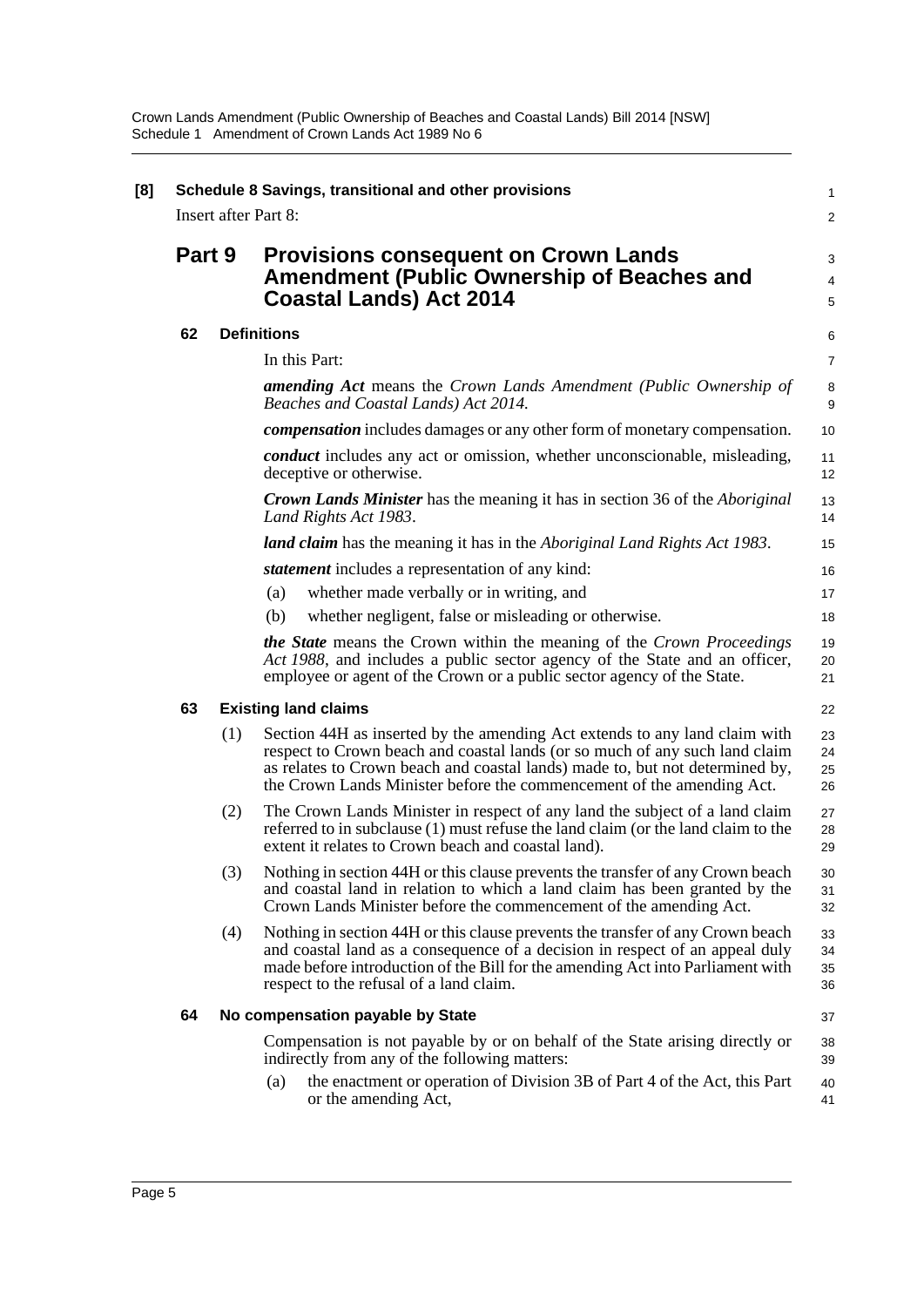| Part 9 |     | <b>Provisions consequent on Crown Lands</b><br><b>Amendment (Public Ownership of Beaches and</b>                                                                                                                                                                                                                   |
|--------|-----|--------------------------------------------------------------------------------------------------------------------------------------------------------------------------------------------------------------------------------------------------------------------------------------------------------------------|
|        |     | <b>Coastal Lands) Act 2014</b>                                                                                                                                                                                                                                                                                     |
| 62     |     | <b>Definitions</b>                                                                                                                                                                                                                                                                                                 |
|        |     | In this Part:                                                                                                                                                                                                                                                                                                      |
|        |     | <b>amending Act</b> means the Crown Lands Amendment (Public Ownership of<br>Beaches and Coastal Lands) Act 2014.                                                                                                                                                                                                   |
|        |     | <i>compensation</i> includes damages or any other form of monetary compensation.                                                                                                                                                                                                                                   |
|        |     | conduct includes any act or omission, whether unconscionable, misleading,<br>deceptive or otherwise.                                                                                                                                                                                                               |
|        |     | <b>Crown Lands Minister</b> has the meaning it has in section 36 of the <i>Aboriginal</i><br>Land Rights Act 1983.                                                                                                                                                                                                 |
|        |     | <b>land claim</b> has the meaning it has in the <i>Aboriginal Land Rights Act 1983</i> .                                                                                                                                                                                                                           |
|        |     | <i>statement</i> includes a representation of any kind:                                                                                                                                                                                                                                                            |
|        |     | whether made verbally or in writing, and<br>(a)                                                                                                                                                                                                                                                                    |
|        |     | whether negligent, false or misleading or otherwise.<br>(b)                                                                                                                                                                                                                                                        |
|        |     | <b>the State</b> means the Crown within the meaning of the Crown Proceedings<br>Act 1988, and includes a public sector agency of the State and an officer,<br>employee or agent of the Crown or a public sector agency of the State.                                                                               |
| 63     |     | <b>Existing land claims</b>                                                                                                                                                                                                                                                                                        |
|        | (1) | Section 44H as inserted by the amending Act extends to any land claim with<br>respect to Crown beach and coastal lands (or so much of any such land claim<br>as relates to Crown beach and coastal lands) made to, but not determined by,<br>the Crown Lands Minister before the commencement of the amending Act. |
|        | (2) | The Crown Lands Minister in respect of any land the subject of a land claim<br>referred to in subclause (1) must refuse the land claim (or the land claim to the<br>extent it relates to Crown beach and coastal land).                                                                                            |
|        | (3) | Nothing in section 44H or this clause prevents the transfer of any Crown beach<br>and coastal land in relation to which a land claim has been granted by the<br>Crown Lands Minister before the commencement of the amending Act.                                                                                  |
|        | (4) | Nothing in section 44H or this clause prevents the transfer of any Crown beach<br>and coastal land as a consequence of a decision in respect of an appeal duly<br>made before introduction of the Bill for the amending Act into Parliament with<br>respect to the refusal of a land claim.                        |
| 64     |     | No compensation payable by State                                                                                                                                                                                                                                                                                   |
|        |     | Compensation is not payable by or on behalf of the State arising directly or<br>indirectly from any of the following matters:                                                                                                                                                                                      |
|        |     | the enactment or operation of Division 3B of Part 4 of the Act, this Part<br>(a)<br>or the amending Act,                                                                                                                                                                                                           |